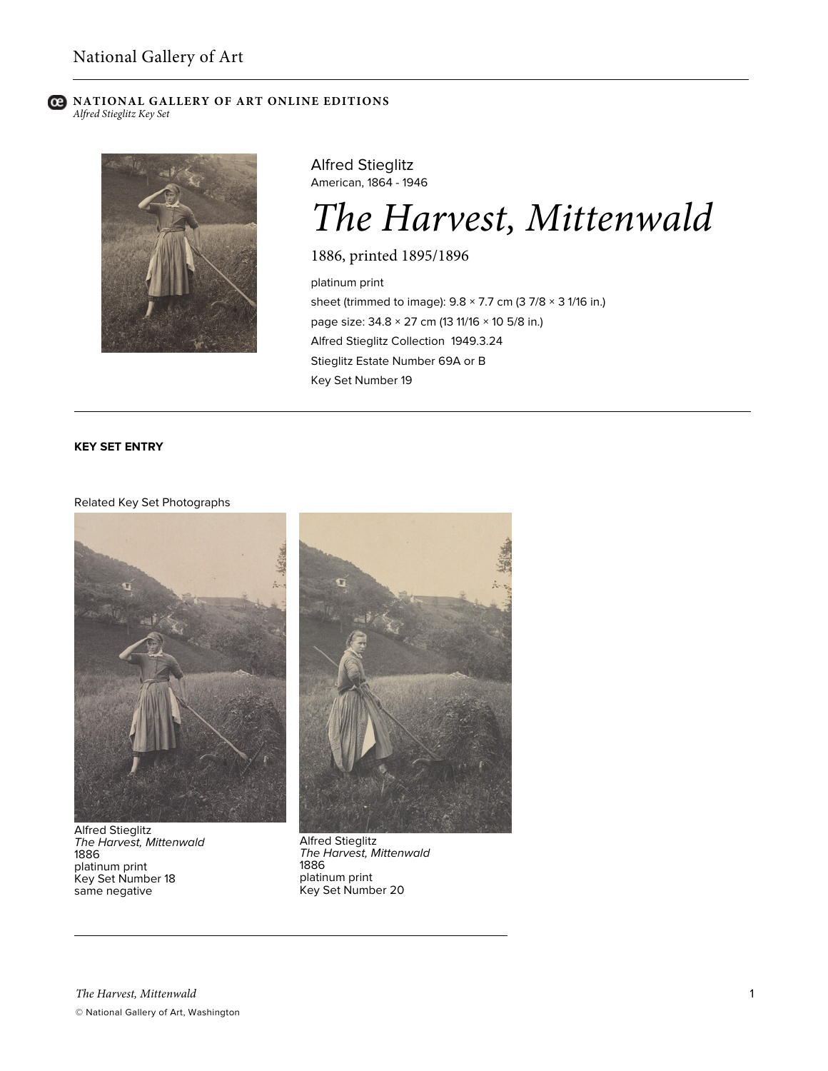## **C** NATIONAL GALLERY OF ART ONLINE EDITIONS *Alfred Stieglitz Key Set*



Alfred Stieglitz American, 1864 - 1946

# *The Harvest, Mittenwald*

1886, printed 1895/1896

platinum print sheet (trimmed to image):  $9.8 \times 7.7$  cm (3 7/8  $\times$  3 1/16 in.) page size: 34.8 × 27 cm (13 11/16 × 10 5/8 in.) Alfred Stieglitz Collection 1949.3.24 Stieglitz Estate Number 69A or B Key Set Number 19

# **KEY SET ENTRY**

## Related Key Set Photographs



Alfred Stieglitz *The Harvest, Mittenwald* 1886 platinum print Key Set Number 18 same negative



Alfred Stieglitz *The Harvest, Mittenwald* 1886 platinum print Key Set Number 20